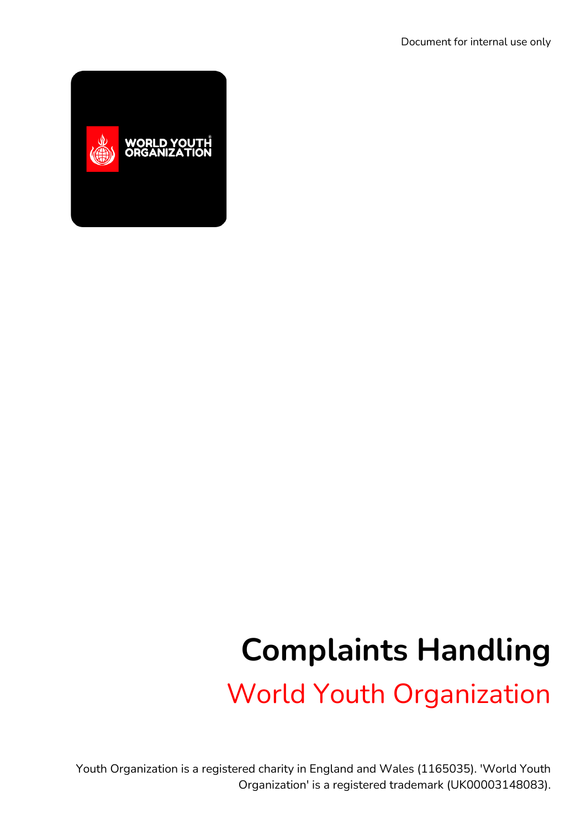

## **Complaints Handling**

World Youth Organization

Youth Organization is a registered charity in England and Wales (1165035). 'World Youth Organization' is a registered trademark (UK00003148083).